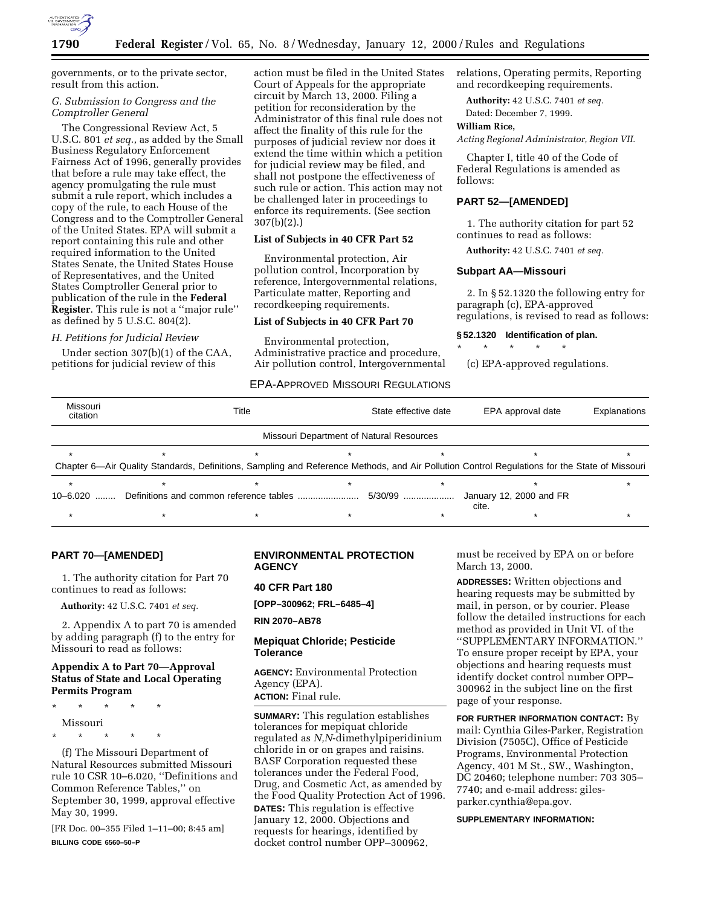

governments, or to the private sector, result from this action.

# *G. Submission to Congress and the Comptroller General*

The Congressional Review Act, 5 U.S.C. 801 *et seq.*, as added by the Small Business Regulatory Enforcement Fairness Act of 1996, generally provides that before a rule may take effect, the agency promulgating the rule must submit a rule report, which includes a copy of the rule, to each House of the Congress and to the Comptroller General of the United States. EPA will submit a report containing this rule and other required information to the United States Senate, the United States House of Representatives, and the United States Comptroller General prior to publication of the rule in the **Federal Register**. This rule is not a ''major rule'' as defined by 5 U.S.C. 804(2).

## *H. Petitions for Judicial Review*

Under section 307(b)(1) of the CAA, petitions for judicial review of this

action must be filed in the United States Court of Appeals for the appropriate circuit by March 13, 2000. Filing a petition for reconsideration by the Administrator of this final rule does not affect the finality of this rule for the purposes of judicial review nor does it extend the time within which a petition for judicial review may be filed, and shall not postpone the effectiveness of such rule or action. This action may not be challenged later in proceedings to enforce its requirements. (See section 307(b)(2).)

# **List of Subjects in 40 CFR Part 52**

Environmental protection, Air pollution control, Incorporation by reference, Intergovernmental relations, Particulate matter, Reporting and recordkeeping requirements.

## **List of Subjects in 40 CFR Part 70**

Environmental protection, Administrative practice and procedure, Air pollution control, Intergovernmental relations, Operating permits, Reporting and recordkeeping requirements.

**Authority:** 42 U.S.C. 7401 *et seq.* Dated: December 7, 1999.

## **William Rice,**

*Acting Regional Administrator, Region VII.*

Chapter I, title 40 of the Code of Federal Regulations is amended as follows:

# **PART 52—[AMENDED]**

1. The authority citation for part 52 continues to read as follows:

**Authority:** 42 U.S.C. 7401 *et seq.*

## **Subpart AA—Missouri**

\* \* \* \* \*

2. In § 52.1320 the following entry for paragraph (c), EPA-approved regulations, is revised to read as follows:

## **§ 52.1320 Identification of plan.**

(c) EPA-approved regulations.

# EPA-APPROVED MISSOURI REGULATIONS

| Missouri<br>citation                     |  | Title |  | State effective date | EPA approval date                                                                                                                             | Explanations |  |  |  |  |
|------------------------------------------|--|-------|--|----------------------|-----------------------------------------------------------------------------------------------------------------------------------------------|--------------|--|--|--|--|
| Missouri Department of Natural Resources |  |       |  |                      |                                                                                                                                               |              |  |  |  |  |
|                                          |  |       |  |                      |                                                                                                                                               |              |  |  |  |  |
|                                          |  |       |  |                      | Chapter 6—Air Quality Standards, Definitions, Sampling and Reference Methods, and Air Pollution Control Regulations for the State of Missouri |              |  |  |  |  |
|                                          |  |       |  |                      |                                                                                                                                               |              |  |  |  |  |
| 10-6.020<br>.                            |  |       |  | 5/30/99              | January 12, 2000 and FR<br>cite.                                                                                                              |              |  |  |  |  |
|                                          |  |       |  |                      |                                                                                                                                               |              |  |  |  |  |

# **PART 70—[AMENDED]**

1. The authority citation for Part 70 continues to read as follows:

**Authority:** 42 U.S.C. 7401 *et seq.*

2. Appendix A to part 70 is amended by adding paragraph (f) to the entry for Missouri to read as follows:

# **Appendix A to Part 70—Approval Status of State and Local Operating Permits Program**

\* \* \* \* \* Missouri \* \* \* \* \*

(f) The Missouri Department of Natural Resources submitted Missouri rule 10 CSR 10–6.020, ''Definitions and Common Reference Tables,'' on September 30, 1999, approval effective May 30, 1999.

[FR Doc. 00–355 Filed 1–11–00; 8:45 am] **BILLING CODE 6560–50–P**

# **ENVIRONMENTAL PROTECTION AGENCY**

# **40 CFR Part 180**

**[OPP–300962; FRL–6485–4]**

**RIN 2070–AB78**

# **Mepiquat Chloride; Pesticide Tolerance**

**AGENCY:** Environmental Protection Agency (EPA). **ACTION:** Final rule.

**SUMMARY:** This regulation establishes tolerances for mepiquat chloride regulated as *N,N*-dimethylpiperidinium chloride in or on grapes and raisins. BASF Corporation requested these tolerances under the Federal Food, Drug, and Cosmetic Act, as amended by the Food Quality Protection Act of 1996. **DATES:** This regulation is effective January 12, 2000. Objections and requests for hearings, identified by docket control number OPP–300962,

must be received by EPA on or before March 13, 2000.

**ADDRESSES:** Written objections and hearing requests may be submitted by mail, in person, or by courier. Please follow the detailed instructions for each method as provided in Unit VI. of the ''SUPPLEMENTARY INFORMATION.'' To ensure proper receipt by EPA, your objections and hearing requests must identify docket control number OPP– 300962 in the subject line on the first page of your response.

**FOR FURTHER INFORMATION CONTACT:** By mail: Cynthia Giles-Parker, Registration Division (7505C), Office of Pesticide Programs, Environmental Protection Agency, 401 M St., SW., Washington, DC 20460; telephone number: 703 305– 7740; and e-mail address: gilesparker.cynthia@epa.gov.

## **SUPPLEMENTARY INFORMATION:**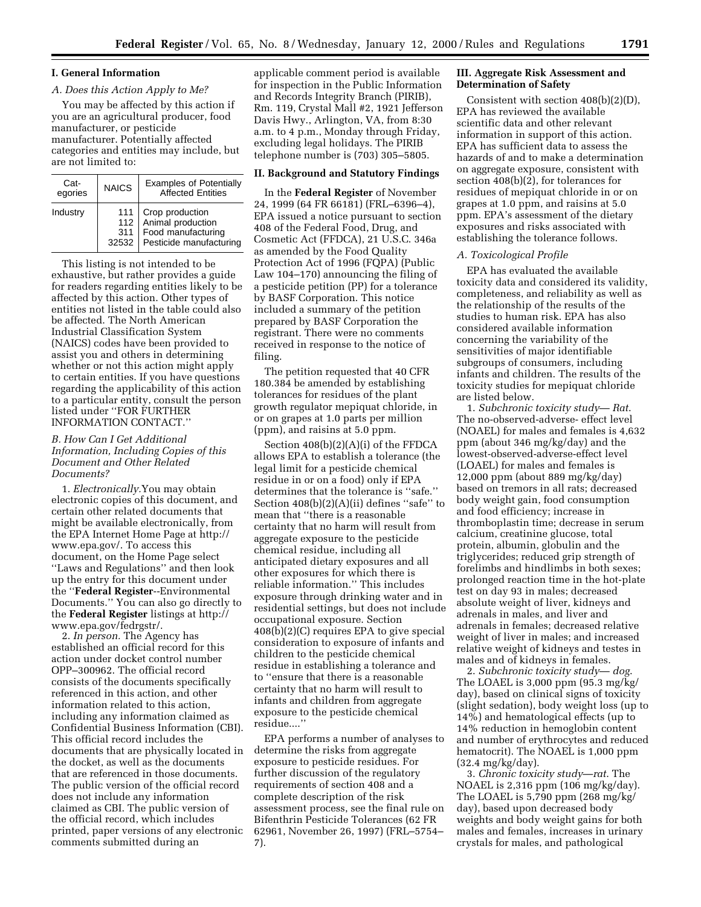# **I. General Information**

# *A. Does this Action Apply to Me?*

You may be affected by this action if you are an agricultural producer, food manufacturer, or pesticide manufacturer. Potentially affected categories and entities may include, but are not limited to:

| Cat-<br>egories | <b>NAICS</b>               | <b>Examples of Potentially</b><br><b>Affected Entities</b>                            |
|-----------------|----------------------------|---------------------------------------------------------------------------------------|
| Industry        | 111<br>112<br>311<br>32532 | Crop production<br>Animal production<br>Food manufacturing<br>Pesticide manufacturing |

This listing is not intended to be exhaustive, but rather provides a guide for readers regarding entities likely to be affected by this action. Other types of entities not listed in the table could also be affected. The North American Industrial Classification System (NAICS) codes have been provided to assist you and others in determining whether or not this action might apply to certain entities. If you have questions regarding the applicability of this action to a particular entity, consult the person listed under ''FOR FURTHER INFORMATION CONTACT.''

# *B. How Can I Get Additional Information, Including Copies of this Document and Other Related Documents?*

1. *Electronically.*You may obtain electronic copies of this document, and certain other related documents that might be available electronically, from the EPA Internet Home Page at http:// www.epa.gov/. To access this document, on the Home Page select ''Laws and Regulations'' and then look up the entry for this document under the ''**Federal Register**--Environmental Documents.'' You can also go directly to the **Federal Register** listings at http:// www.epa.gov/fedrgstr/.

2. *In person.* The Agency has established an official record for this action under docket control number OPP–300962. The official record consists of the documents specifically referenced in this action, and other information related to this action, including any information claimed as Confidential Business Information (CBI). This official record includes the documents that are physically located in the docket, as well as the documents that are referenced in those documents. The public version of the official record does not include any information claimed as CBI. The public version of the official record, which includes printed, paper versions of any electronic comments submitted during an

applicable comment period is available for inspection in the Public Information and Records Integrity Branch (PIRIB), Rm. 119, Crystal Mall #2, 1921 Jefferson Davis Hwy., Arlington, VA, from 8:30 a.m. to 4 p.m., Monday through Friday, excluding legal holidays. The PIRIB telephone number is (703) 305–5805.

## **II. Background and Statutory Findings**

In the **Federal Register** of November 24, 1999 (64 FR 66181) (FRL–6396–4), EPA issued a notice pursuant to section 408 of the Federal Food, Drug, and Cosmetic Act (FFDCA), 21 U.S.C. 346a as amended by the Food Quality Protection Act of 1996 (FQPA) (Public Law 104–170) announcing the filing of a pesticide petition (PP) for a tolerance by BASF Corporation. This notice included a summary of the petition prepared by BASF Corporation the registrant. There were no comments received in response to the notice of filing.

The petition requested that 40 CFR 180.384 be amended by establishing tolerances for residues of the plant growth regulator mepiquat chloride, in or on grapes at 1.0 parts per million (ppm), and raisins at 5.0 ppm.

Section 408(b)(2)(A)(i) of the FFDCA allows EPA to establish a tolerance (the legal limit for a pesticide chemical residue in or on a food) only if EPA determines that the tolerance is ''safe.'' Section  $408(b)(2)(A)(ii)$  defines "safe" to mean that ''there is a reasonable certainty that no harm will result from aggregate exposure to the pesticide chemical residue, including all anticipated dietary exposures and all other exposures for which there is reliable information.'' This includes exposure through drinking water and in residential settings, but does not include occupational exposure. Section 408(b)(2)(C) requires EPA to give special consideration to exposure of infants and children to the pesticide chemical residue in establishing a tolerance and to ''ensure that there is a reasonable certainty that no harm will result to infants and children from aggregate exposure to the pesticide chemical residue....''

EPA performs a number of analyses to determine the risks from aggregate exposure to pesticide residues. For further discussion of the regulatory requirements of section 408 and a complete description of the risk assessment process, see the final rule on Bifenthrin Pesticide Tolerances (62 FR 62961, November 26, 1997) (FRL–5754– 7).

# **III. Aggregate Risk Assessment and Determination of Safety**

Consistent with section 408(b)(2)(D), EPA has reviewed the available scientific data and other relevant information in support of this action. EPA has sufficient data to assess the hazards of and to make a determination on aggregate exposure, consistent with section 408(b)(2), for tolerances for residues of mepiquat chloride in or on grapes at 1.0 ppm, and raisins at 5.0 ppm. EPA's assessment of the dietary exposures and risks associated with establishing the tolerance follows.

# *A. Toxicological Profile*

EPA has evaluated the available toxicity data and considered its validity, completeness, and reliability as well as the relationship of the results of the studies to human risk. EPA has also considered available information concerning the variability of the sensitivities of major identifiable subgroups of consumers, including infants and children. The results of the toxicity studies for mepiquat chloride are listed below.

1. *Subchronic toxicity study*— *Rat*. The no-observed-adverse- effect level (NOAEL) for males and females is 4,632 ppm (about 346 mg/kg/day) and the lowest-observed-adverse-effect level (LOAEL) for males and females is 12,000 ppm (about 889 mg/kg/day) based on tremors in all rats; decreased body weight gain, food consumption and food efficiency; increase in thromboplastin time; decrease in serum calcium, creatinine glucose, total protein, albumin, globulin and the triglycerides; reduced grip strength of forelimbs and hindlimbs in both sexes; prolonged reaction time in the hot-plate test on day 93 in males; decreased absolute weight of liver, kidneys and adrenals in males, and liver and adrenals in females; decreased relative weight of liver in males; and increased relative weight of kidneys and testes in males and of kidneys in females.

2. *Subchronic toxicity study*— *dog*. The LOAEL is 3,000 ppm (95.3 mg/kg/ day), based on clinical signs of toxicity (slight sedation), body weight loss (up to 14%) and hematological effects (up to 14% reduction in hemoglobin content and number of erythrocytes and reduced hematocrit). The NOAEL is 1,000 ppm (32.4 mg/kg/day).

3. *Chronic toxicity study*—*rat*. The NOAEL is 2,316 ppm (106 mg/kg/day). The LOAEL is 5,790 ppm (268 mg/kg/ day), based upon decreased body weights and body weight gains for both males and females, increases in urinary crystals for males, and pathological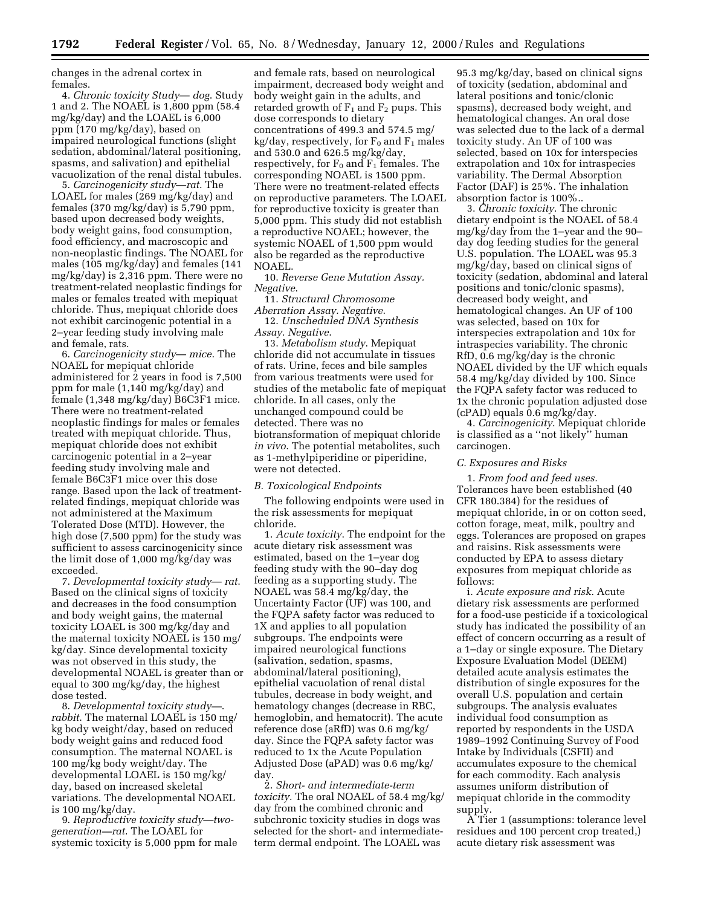changes in the adrenal cortex in females.

4. *Chronic toxicity Study*— *dog*. Study 1 and 2. The NOAEL is 1,800 ppm (58.4 mg/kg/day) and the LOAEL is 6,000 ppm (170 mg/kg/day), based on impaired neurological functions (slight sedation, abdominal/lateral positioning, spasms, and salivation) and epithelial vacuolization of the renal distal tubules.

5. *Carcinogenicity study*—*rat*. The LOAEL for males (269 mg/kg/day) and females (370 mg/kg/day) is 5,790 ppm, based upon decreased body weights, body weight gains, food consumption, food efficiency, and macroscopic and non-neoplastic findings. The NOAEL for males (105 mg/kg/day) and females (141 mg/kg/day) is 2,316 ppm. There were no treatment-related neoplastic findings for males or females treated with mepiquat chloride. Thus, mepiquat chloride does not exhibit carcinogenic potential in a 2–year feeding study involving male and female, rats.

6. *Carcinogenicity study*— *mice*. The NOAEL for mepiquat chloride administered for 2 years in food is 7,500 ppm for male (1,140 mg/kg/day) and female (1,348 mg/kg/day) B6C3F1 mice. There were no treatment-related neoplastic findings for males or females treated with mepiquat chloride. Thus, mepiquat chloride does not exhibit carcinogenic potential in a 2–year feeding study involving male and female B6C3F1 mice over this dose range. Based upon the lack of treatmentrelated findings, mepiquat chloride was not administered at the Maximum Tolerated Dose (MTD). However, the high dose (7,500 ppm) for the study was sufficient to assess carcinogenicity since the limit dose of 1,000 mg/kg/day was exceeded.

7. *Developmental toxicity study*— *rat*. Based on the clinical signs of toxicity and decreases in the food consumption and body weight gains, the maternal toxicity LOAEL is 300 mg/kg/day and the maternal toxicity NOAEL is 150 mg/ kg/day. Since developmental toxicity was not observed in this study, the developmental NOAEL is greater than or equal to 300 mg/kg/day, the highest dose tested.

8. *Developmental toxicity study—*. *rabbit*. The maternal LOAEL is 150 mg/ kg body weight/day, based on reduced body weight gains and reduced food consumption. The maternal NOAEL is 100 mg/kg body weight/day. The developmental LOAEL is 150 mg/kg/ day, based on increased skeletal variations. The developmental NOAEL is 100 mg/kg/day.

9. *Reproductive toxicity study—twogeneration—rat*. The LOAEL for systemic toxicity is 5,000 ppm for male

and female rats, based on neurological impairment, decreased body weight and body weight gain in the adults, and retarded growth of  $F_1$  and  $F_2$  pups. This dose corresponds to dietary concentrations of 499.3 and 574.5 mg/  $kg/day$ , respectively, for  $F_0$  and  $F_1$  males and 530.0 and 626.5 mg/kg/day, respectively, for  $F_0$  and  $F_1$  females. The corresponding NOAEL is 1500 ppm. There were no treatment-related effects on reproductive parameters. The LOAEL for reproductive toxicity is greater than 5,000 ppm. This study did not establish a reproductive NOAEL; however, the systemic NOAEL of 1,500 ppm would also be regarded as the reproductive NOAEL.

10. *Reverse Gene Mutation Assay. Negative*.

11. *Structural Chromosome*

*Aberration Assay. Negative*. 12. *Unscheduled DNA Synthesis Assay. Negative*.

13. *Metabolism study*. Mepiquat chloride did not accumulate in tissues of rats. Urine, feces and bile samples from various treatments were used for studies of the metabolic fate of mepiquat chloride. In all cases, only the unchanged compound could be detected. There was no biotransformation of mepiquat chloride *in vivo*. The potential metabolites, such as 1-methylpiperidine or piperidine, were not detected.

#### *B. Toxicological Endpoints*

The following endpoints were used in the risk assessments for mepiquat chloride.

1. *Acute toxicity*. The endpoint for the acute dietary risk assessment was estimated, based on the 1–year dog feeding study with the 90–day dog feeding as a supporting study. The NOAEL was 58.4 mg/kg/day, the Uncertainty Factor (UF) was 100, and the FQPA safety factor was reduced to 1X and applies to all population subgroups. The endpoints were impaired neurological functions (salivation, sedation, spasms, abdominal/lateral positioning), epithelial vacuolation of renal distal tubules, decrease in body weight, and hematology changes (decrease in RBC, hemoglobin, and hematocrit). The acute reference dose (aRfD) was 0.6 mg/kg/ day. Since the FQPA safety factor was reduced to 1x the Acute Population Adjusted Dose (aPAD) was 0.6 mg/kg/ day.

2. *Short- and intermediate-term toxicity.* The oral NOAEL of 58.4 mg/kg/ day from the combined chronic and subchronic toxicity studies in dogs was selected for the short- and intermediateterm dermal endpoint. The LOAEL was

95.3 mg/kg/day, based on clinical signs of toxicity (sedation, abdominal and lateral positions and tonic/clonic spasms), decreased body weight, and hematological changes. An oral dose was selected due to the lack of a dermal toxicity study. An UF of 100 was selected, based on 10x for interspecies extrapolation and 10x for intraspecies variability. The Dermal Absorption Factor (DAF) is 25%. The inhalation absorption factor is 100%..

3. *Chronic toxicity*. The chronic dietary endpoint is the NOAEL of 58.4 mg/kg/day from the 1–year and the 90– day dog feeding studies for the general U.S. population. The LOAEL was 95.3 mg/kg/day, based on clinical signs of toxicity (sedation, abdominal and lateral positions and tonic/clonic spasms), decreased body weight, and hematological changes. An UF of 100 was selected, based on 10x for interspecies extrapolation and 10x for intraspecies variability. The chronic RfD, 0.6 mg/kg/day is the chronic NOAEL divided by the UF which equals 58.4 mg/kg/day divided by 100. Since the FQPA safety factor was reduced to 1x the chronic population adjusted dose (cPAD) equals 0.6 mg/kg/day.

4. *Carcinogenicity*. Mepiquat chloride is classified as a ''not likely'' human carcinogen.

# *C. Exposures and Risks*

1. *From food and feed uses.* Tolerances have been established (40 CFR 180.384) for the residues of mepiquat chloride, in or on cotton seed, cotton forage, meat, milk, poultry and eggs. Tolerances are proposed on grapes and raisins. Risk assessments were conducted by EPA to assess dietary exposures from mepiquat chloride as follows:

i. *Acute exposure and risk.* Acute dietary risk assessments are performed for a food-use pesticide if a toxicological study has indicated the possibility of an effect of concern occurring as a result of a 1–day or single exposure. The Dietary Exposure Evaluation Model (DEEM) detailed acute analysis estimates the distribution of single exposures for the overall U.S. population and certain subgroups. The analysis evaluates individual food consumption as reported by respondents in the USDA 1989–1992 Continuing Survey of Food Intake by Individuals (CSFII) and accumulates exposure to the chemical for each commodity. Each analysis assumes uniform distribution of mepiquat chloride in the commodity supply.

A Tier 1 (assumptions: tolerance level residues and 100 percent crop treated,) acute dietary risk assessment was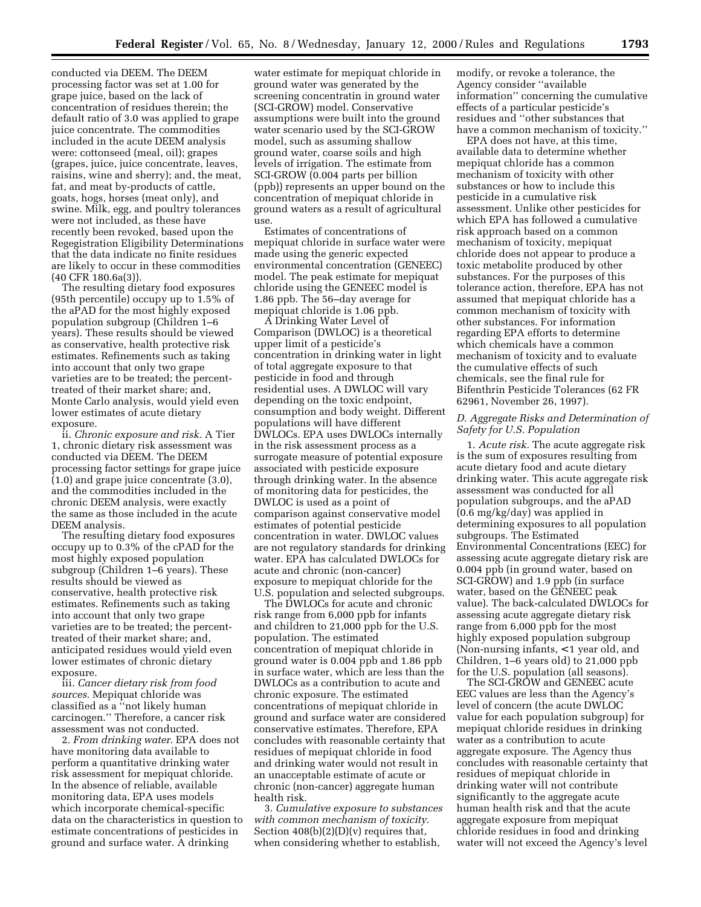conducted via DEEM. The DEEM processing factor was set at 1.00 for grape juice, based on the lack of concentration of residues therein; the default ratio of 3.0 was applied to grape juice concentrate. The commodities included in the acute DEEM analysis were: cottonseed (meal, oil); grapes (grapes, juice, juice concentrate, leaves, raisins, wine and sherry); and, the meat, fat, and meat by-products of cattle, goats, hogs, horses (meat only), and swine. Milk, egg, and poultry tolerances were not included, as these have recently been revoked, based upon the Regegistration Eligibility Determinations that the data indicate no finite residues are likely to occur in these commodities (40 CFR 180.6a(3)).

The resulting dietary food exposures (95th percentile) occupy up to 1.5% of the aPAD for the most highly exposed population subgroup (Children 1–6 years). These results should be viewed as conservative, health protective risk estimates. Refinements such as taking into account that only two grape varieties are to be treated; the percenttreated of their market share; and, Monte Carlo analysis, would yield even lower estimates of acute dietary exposure.

ii. *Chronic exposure and risk.* A Tier 1, chronic dietary risk assessment was conducted via DEEM. The DEEM processing factor settings for grape juice (1.0) and grape juice concentrate (3.0), and the commodities included in the chronic DEEM analysis, were exactly the same as those included in the acute DEEM analysis.

The resulting dietary food exposures occupy up to 0.3% of the cPAD for the most highly exposed population subgroup (Children 1–6 years). These results should be viewed as conservative, health protective risk estimates. Refinements such as taking into account that only two grape varieties are to be treated; the percenttreated of their market share; and, anticipated residues would yield even lower estimates of chronic dietary exposure.

iii. *Cancer dietary risk from food sources*. Mepiquat chloride was classified as a ''not likely human carcinogen.'' Therefore, a cancer risk assessment was not conducted.

2. *From drinking water.* EPA does not have monitoring data available to perform a quantitative drinking water risk assessment for mepiquat chloride. In the absence of reliable, available monitoring data, EPA uses models which incorporate chemical-specific data on the characteristics in question to estimate concentrations of pesticides in ground and surface water. A drinking

water estimate for mepiquat chloride in ground water was generated by the screening concentratin in ground water (SCI-GROW) model. Conservative assumptions were built into the ground water scenario used by the SCI-GROW model, such as assuming shallow ground water, coarse soils and high levels of irrigation. The estimate from SCI-GROW (0.004 parts per billion (ppb)) represents an upper bound on the concentration of mepiquat chloride in ground waters as a result of agricultural use.

Estimates of concentrations of mepiquat chloride in surface water were made using the generic expected environmental concentration (GENEEC) model. The peak estimate for mepiquat chloride using the GENEEC model is 1.86 ppb. The 56–day average for mepiquat chloride is 1.06 ppb.

A Drinking Water Level of Comparison (DWLOC) is a theoretical upper limit of a pesticide's concentration in drinking water in light of total aggregate exposure to that pesticide in food and through residential uses. A DWLOC will vary depending on the toxic endpoint, consumption and body weight. Different populations will have different DWLOCs. EPA uses DWLOCs internally in the risk assessment process as a surrogate measure of potential exposure associated with pesticide exposure through drinking water. In the absence of monitoring data for pesticides, the DWLOC is used as a point of comparison against conservative model estimates of potential pesticide concentration in water. DWLOC values are not regulatory standards for drinking water. EPA has calculated DWLOCs for acute and chronic (non-cancer) exposure to mepiquat chloride for the U.S. population and selected subgroups.

The DWLOCs for acute and chronic risk range from 6,000 ppb for infants and children to 21,000 ppb for the U.S. population. The estimated concentration of mepiquat chloride in ground water is 0.004 ppb and 1.86 ppb in surface water, which are less than the DWLOCs as a contribution to acute and chronic exposure. The estimated concentrations of mepiquat chloride in ground and surface water are considered conservative estimates. Therefore, EPA concludes with reasonable certainty that residues of mepiquat chloride in food and drinking water would not result in an unacceptable estimate of acute or chronic (non-cancer) aggregate human health risk.

3. *Cumulative exposure to substances with common mechanism of toxicity*. Section  $408(b)(2)(D)(v)$  requires that, when considering whether to establish,

modify, or revoke a tolerance, the Agency consider ''available information'' concerning the cumulative effects of a particular pesticide's residues and ''other substances that have a common mechanism of toxicity.''

EPA does not have, at this time, available data to determine whether mepiquat chloride has a common mechanism of toxicity with other substances or how to include this pesticide in a cumulative risk assessment. Unlike other pesticides for which EPA has followed a cumulative risk approach based on a common mechanism of toxicity, mepiquat chloride does not appear to produce a toxic metabolite produced by other substances. For the purposes of this tolerance action, therefore, EPA has not assumed that mepiquat chloride has a common mechanism of toxicity with other substances. For information regarding EPA efforts to determine which chemicals have a common mechanism of toxicity and to evaluate the cumulative effects of such chemicals, see the final rule for Bifenthrin Pesticide Tolerances (62 FR 62961, November 26, 1997).

# *D. Aggregate Risks and Determination of Safety for U.S. Population*

1. *Acute risk.* The acute aggregate risk is the sum of exposures resulting from acute dietary food and acute dietary drinking water. This acute aggregate risk assessment was conducted for all population subgroups, and the aPAD (0.6 mg/kg/day) was applied in determining exposures to all population subgroups. The Estimated Environmental Concentrations (EEC) for assessing acute aggregate dietary risk are 0.004 ppb (in ground water, based on SCI-GROW) and 1.9 ppb (in surface water, based on the GENEEC peak value). The back-calculated DWLOCs for assessing acute aggregate dietary risk range from 6,000 ppb for the most highly exposed population subgroup (Non-nursing infants, < 1 year old, and Children, 1–6 years old) to 21,000 ppb for the U.S. population (all seasons).

The SCI-GROW and GENEEC acute EEC values are less than the Agency's level of concern (the acute DWLOC value for each population subgroup) for mepiquat chloride residues in drinking water as a contribution to acute aggregate exposure. The Agency thus concludes with reasonable certainty that residues of mepiquat chloride in drinking water will not contribute significantly to the aggregate acute human health risk and that the acute aggregate exposure from mepiquat chloride residues in food and drinking water will not exceed the Agency's level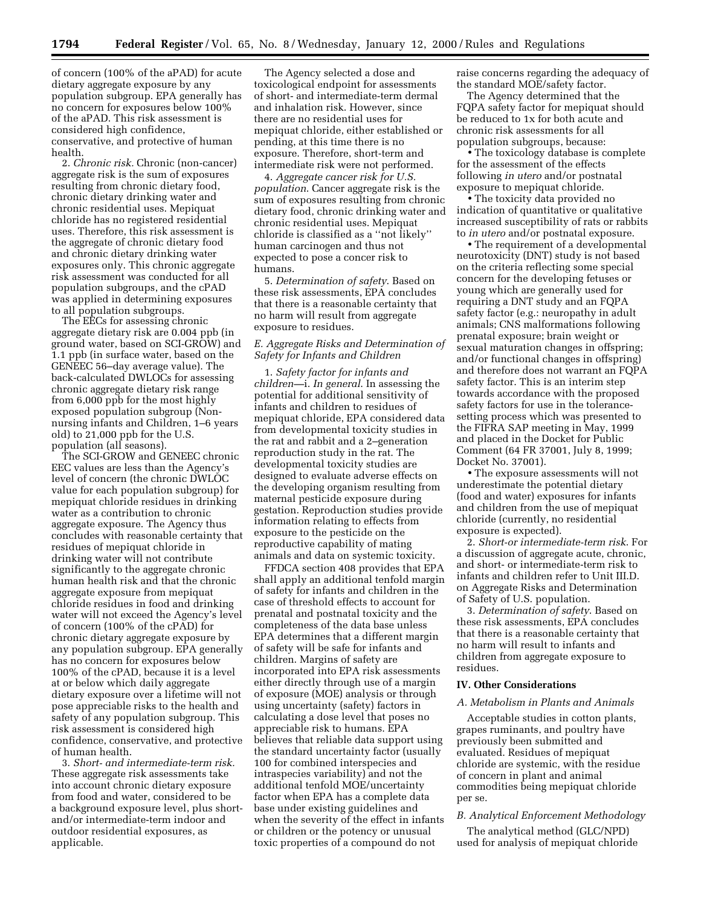of concern (100% of the aPAD) for acute dietary aggregate exposure by any population subgroup. EPA generally has no concern for exposures below 100% of the aPAD. This risk assessment is considered high confidence, conservative, and protective of human health.

2. *Chronic risk.* Chronic (non-cancer) aggregate risk is the sum of exposures resulting from chronic dietary food, chronic dietary drinking water and chronic residential uses. Mepiquat chloride has no registered residential uses. Therefore, this risk assessment is the aggregate of chronic dietary food and chronic dietary drinking water exposures only. This chronic aggregate risk assessment was conducted for all population subgroups, and the cPAD was applied in determining exposures to all population subgroups.

The EECs for assessing chronic aggregate dietary risk are 0.004 ppb (in ground water, based on SCI-GROW) and 1.1 ppb (in surface water, based on the GENEEC 56–day average value). The back-calculated DWLOCs for assessing chronic aggregate dietary risk range from 6,000 ppb for the most highly exposed population subgroup (Nonnursing infants and Children, 1–6 years old) to 21,000 ppb for the U.S. population (all seasons).

The SCI-GROW and GENEEC chronic EEC values are less than the Agency's level of concern (the chronic DWLOC value for each population subgroup) for mepiquat chloride residues in drinking water as a contribution to chronic aggregate exposure. The Agency thus concludes with reasonable certainty that residues of mepiquat chloride in drinking water will not contribute significantly to the aggregate chronic human health risk and that the chronic aggregate exposure from mepiquat chloride residues in food and drinking water will not exceed the Agency's level of concern (100% of the cPAD) for chronic dietary aggregate exposure by any population subgroup. EPA generally has no concern for exposures below 100% of the cPAD, because it is a level at or below which daily aggregate dietary exposure over a lifetime will not pose appreciable risks to the health and safety of any population subgroup. This risk assessment is considered high confidence, conservative, and protective of human health.

3. *Short- and intermediate-term risk.* These aggregate risk assessments take into account chronic dietary exposure from food and water, considered to be a background exposure level, plus shortand/or intermediate-term indoor and outdoor residential exposures, as applicable.

The Agency selected a dose and toxicological endpoint for assessments of short- and intermediate-term dermal and inhalation risk. However, since there are no residential uses for mepiquat chloride, either established or pending, at this time there is no exposure. Therefore, short-term and intermediate risk were not performed.

4. *Aggregate cancer risk for U.S. population*. Cancer aggregate risk is the sum of exposures resulting from chronic dietary food, chronic drinking water and chronic residential uses. Mepiquat chloride is classified as a ''not likely'' human carcinogen and thus not expected to pose a concer risk to humans.

5. *Determination of safety*. Based on these risk assessments, EPA concludes that there is a reasonable certainty that no harm will result from aggregate exposure to residues.

# *E. Aggregate Risks and Determination of Safety for Infants and Children*

1. *Safety factor for infants and children—*i. *In general*. In assessing the potential for additional sensitivity of infants and children to residues of mepiquat chloride, EPA considered data from developmental toxicity studies in the rat and rabbit and a 2–generation reproduction study in the rat. The developmental toxicity studies are designed to evaluate adverse effects on the developing organism resulting from maternal pesticide exposure during gestation. Reproduction studies provide information relating to effects from exposure to the pesticide on the reproductive capability of mating animals and data on systemic toxicity.

FFDCA section 408 provides that EPA shall apply an additional tenfold margin of safety for infants and children in the case of threshold effects to account for prenatal and postnatal toxicity and the completeness of the data base unless EPA determines that a different margin of safety will be safe for infants and children. Margins of safety are incorporated into EPA risk assessments either directly through use of a margin of exposure (MOE) analysis or through using uncertainty (safety) factors in calculating a dose level that poses no appreciable risk to humans. EPA believes that reliable data support using the standard uncertainty factor (usually 100 for combined interspecies and intraspecies variability) and not the additional tenfold MOE/uncertainty factor when EPA has a complete data base under existing guidelines and when the severity of the effect in infants or children or the potency or unusual toxic properties of a compound do not

raise concerns regarding the adequacy of the standard MOE/safety factor.

The Agency determined that the FQPA safety factor for mepiquat should be reduced to 1x for both acute and chronic risk assessments for all population subgroups, because:

• The toxicology database is complete for the assessment of the effects following *in utero* and/or postnatal exposure to mepiquat chloride.

• The toxicity data provided no indication of quantitative or qualitative increased susceptibility of rats or rabbits to *in utero* and/or postnatal exposure.

• The requirement of a developmental neurotoxicity (DNT) study is not based on the criteria reflecting some special concern for the developing fetuses or young which are generally used for requiring a DNT study and an FQPA safety factor (e.g.: neuropathy in adult animals; CNS malformations following prenatal exposure; brain weight or sexual maturation changes in offspring; and/or functional changes in offspring) and therefore does not warrant an FQPA safety factor. This is an interim step towards accordance with the proposed safety factors for use in the tolerancesetting process which was presented to the FIFRA SAP meeting in May, 1999 and placed in the Docket for Public Comment (64 FR 37001, July 8, 1999; Docket No. 37001).

• The exposure assessments will not underestimate the potential dietary (food and water) exposures for infants and children from the use of mepiquat chloride (currently, no residential exposure is expected).

2. *Short-or intermediate-term risk*. For a discussion of aggregate acute, chronic, and short- or intermediate-term risk to infants and children refer to Unit III.D. on Aggregate Risks and Determination of Safety of U.S. population.

3. *Determination of safety*. Based on these risk assessments, EPA concludes that there is a reasonable certainty that no harm will result to infants and children from aggregate exposure to residues.

#### **IV. Other Considerations**

#### *A. Metabolism in Plants and Animals*

Acceptable studies in cotton plants, grapes ruminants, and poultry have previously been submitted and evaluated. Residues of mepiquat chloride are systemic, with the residue of concern in plant and animal commodities being mepiquat chloride per se.

#### *B. Analytical Enforcement Methodology*

The analytical method (GLC/NPD) used for analysis of mepiquat chloride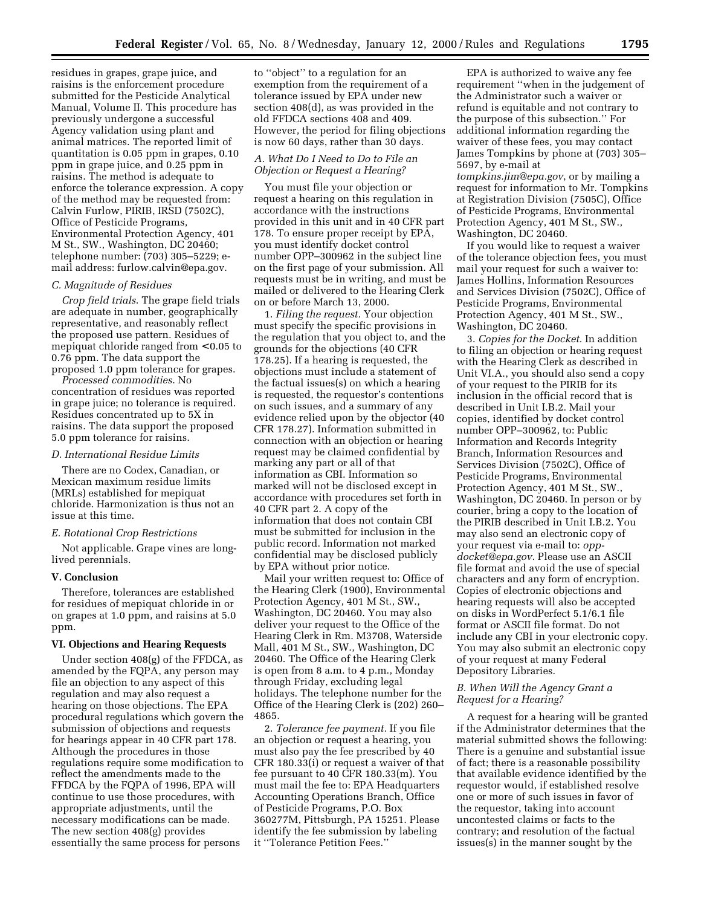residues in grapes, grape juice, and raisins is the enforcement procedure submitted for the Pesticide Analytical Manual, Volume II. This procedure has previously undergone a successful Agency validation using plant and animal matrices. The reported limit of quantitation is 0.05 ppm in grapes, 0.10 ppm in grape juice, and 0.25 ppm in raisins. The method is adequate to enforce the tolerance expression. A copy of the method may be requested from: Calvin Furlow, PIRIB, IRSD (7502C), Office of Pesticide Programs, Environmental Protection Agency, 401 M St., SW., Washington, DC 20460; telephone number: (703) 305–5229; email address: furlow.calvin@epa.gov.

#### *C. Magnitude of Residues*

*Crop field trials*. The grape field trials are adequate in number, geographically representative, and reasonably reflect the proposed use pattern. Residues of mepiquat chloride ranged from < 0.05 to 0.76 ppm. The data support the proposed 1.0 ppm tolerance for grapes.

*Processed commodities*. No concentration of residues was reported in grape juice; no tolerance is required. Residues concentrated up to 5X in raisins. The data support the proposed 5.0 ppm tolerance for raisins.

## *D. International Residue Limits*

There are no Codex, Canadian, or Mexican maximum residue limits (MRLs) established for mepiquat chloride. Harmonization is thus not an issue at this time.

#### *E. Rotational Crop Restrictions*

Not applicable. Grape vines are longlived perennials.

## **V. Conclusion**

Therefore, tolerances are established for residues of mepiquat chloride in or on grapes at 1.0 ppm, and raisins at 5.0 ppm.

## **VI. Objections and Hearing Requests**

Under section 408(g) of the FFDCA, as amended by the FQPA, any person may file an objection to any aspect of this regulation and may also request a hearing on those objections. The EPA procedural regulations which govern the submission of objections and requests for hearings appear in 40 CFR part 178. Although the procedures in those regulations require some modification to reflect the amendments made to the FFDCA by the FQPA of 1996, EPA will continue to use those procedures, with appropriate adjustments, until the necessary modifications can be made. The new section 408(g) provides essentially the same process for persons

to ''object'' to a regulation for an exemption from the requirement of a tolerance issued by EPA under new section 408(d), as was provided in the old FFDCA sections 408 and 409. However, the period for filing objections is now 60 days, rather than 30 days.

# *A. What Do I Need to Do to File an Objection or Request a Hearing?*

You must file your objection or request a hearing on this regulation in accordance with the instructions provided in this unit and in 40 CFR part 178. To ensure proper receipt by EPA, you must identify docket control number OPP–300962 in the subject line on the first page of your submission. All requests must be in writing, and must be mailed or delivered to the Hearing Clerk on or before March 13, 2000.

1. *Filing the request.* Your objection must specify the specific provisions in the regulation that you object to, and the grounds for the objections (40 CFR 178.25). If a hearing is requested, the objections must include a statement of the factual issues(s) on which a hearing is requested, the requestor's contentions on such issues, and a summary of any evidence relied upon by the objector (40 CFR 178.27). Information submitted in connection with an objection or hearing request may be claimed confidential by marking any part or all of that information as CBI. Information so marked will not be disclosed except in accordance with procedures set forth in 40 CFR part 2. A copy of the information that does not contain CBI must be submitted for inclusion in the public record. Information not marked confidential may be disclosed publicly by EPA without prior notice.

Mail your written request to: Office of the Hearing Clerk (1900), Environmental Protection Agency, 401 M St., SW., Washington, DC 20460. You may also deliver your request to the Office of the Hearing Clerk in Rm. M3708, Waterside Mall, 401 M St., SW., Washington, DC 20460. The Office of the Hearing Clerk is open from 8 a.m. to 4 p.m., Monday through Friday, excluding legal holidays. The telephone number for the Office of the Hearing Clerk is (202) 260– 4865.

2. *Tolerance fee payment.* If you file an objection or request a hearing, you must also pay the fee prescribed by 40 CFR 180.33(i) or request a waiver of that fee pursuant to 40 CFR 180.33(m). You must mail the fee to: EPA Headquarters Accounting Operations Branch, Office of Pesticide Programs, P.O. Box 360277M, Pittsburgh, PA 15251. Please identify the fee submission by labeling it ''Tolerance Petition Fees.''

EPA is authorized to waive any fee requirement ''when in the judgement of the Administrator such a waiver or refund is equitable and not contrary to the purpose of this subsection.'' For additional information regarding the waiver of these fees, you may contact James Tompkins by phone at (703) 305– 5697, by e-mail at *tompkins.jim@epa.gov*, or by mailing a request for information to Mr. Tompkins at Registration Division (7505C), Office of Pesticide Programs, Environmental Protection Agency, 401 M St., SW., Washington, DC 20460.

If you would like to request a waiver of the tolerance objection fees, you must mail your request for such a waiver to: James Hollins, Information Resources and Services Division (7502C), Office of Pesticide Programs, Environmental Protection Agency, 401 M St., SW., Washington, DC 20460.

3. *Copies for the Docket.* In addition to filing an objection or hearing request with the Hearing Clerk as described in Unit VI.A., you should also send a copy of your request to the PIRIB for its inclusion in the official record that is described in Unit I.B.2. Mail your copies, identified by docket control number OPP–300962, to: Public Information and Records Integrity Branch, Information Resources and Services Division (7502C), Office of Pesticide Programs, Environmental Protection Agency, 401 M St., SW., Washington, DC 20460. In person or by courier, bring a copy to the location of the PIRIB described in Unit I.B.2. You may also send an electronic copy of your request via e-mail to: *oppdocket@epa.gov*. Please use an ASCII file format and avoid the use of special characters and any form of encryption. Copies of electronic objections and hearing requests will also be accepted on disks in WordPerfect 5.1/6.1 file format or ASCII file format. Do not include any CBI in your electronic copy. You may also submit an electronic copy of your request at many Federal Depository Libraries.

# *B. When Will the Agency Grant a Request for a Hearing?*

A request for a hearing will be granted if the Administrator determines that the material submitted shows the following: There is a genuine and substantial issue of fact; there is a reasonable possibility that available evidence identified by the requestor would, if established resolve one or more of such issues in favor of the requestor, taking into account uncontested claims or facts to the contrary; and resolution of the factual issues(s) in the manner sought by the